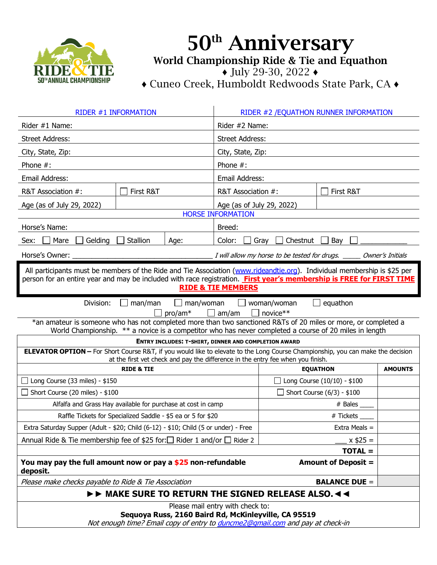

## 50<sup>th</sup> Anniversary World Championship Ride & Tie and Equathon ♦ July 29-30, 2022 ♦

♦ Cuneo Creek, Humboldt Redwoods State Park, CA ♦

| RIDER #1 INFORMATION                                                                                                                                                                                                                                                              |                                                                          | RIDER #2 / EQUATHON RUNNER INFORMATION |                                   |                |  |
|-----------------------------------------------------------------------------------------------------------------------------------------------------------------------------------------------------------------------------------------------------------------------------------|--------------------------------------------------------------------------|----------------------------------------|-----------------------------------|----------------|--|
| Rider #1 Name:                                                                                                                                                                                                                                                                    |                                                                          | Rider #2 Name:                         |                                   |                |  |
| <b>Street Address:</b>                                                                                                                                                                                                                                                            |                                                                          | <b>Street Address:</b>                 |                                   |                |  |
| City, State, Zip:                                                                                                                                                                                                                                                                 |                                                                          | City, State, Zip:                      |                                   |                |  |
| Phone $#$ :                                                                                                                                                                                                                                                                       | Phone $#$ :                                                              |                                        |                                   |                |  |
| Email Address:                                                                                                                                                                                                                                                                    |                                                                          | <b>Email Address:</b>                  |                                   |                |  |
| First R&T<br>R&T Association #:                                                                                                                                                                                                                                                   | R&T Association #:                                                       |                                        | First R&T                         |                |  |
| Age (as of July 29, 2022)                                                                                                                                                                                                                                                         | <b>HORSE INFORMATION</b>                                                 | Age (as of July 29, 2022)              |                                   |                |  |
| Horse's Name:<br>Breed:                                                                                                                                                                                                                                                           |                                                                          |                                        |                                   |                |  |
| Mare<br>Gelding<br>Stallion<br>Age:<br>Sex:                                                                                                                                                                                                                                       | Color:                                                                   | Chestnut<br>Bay<br>Gray                |                                   |                |  |
| Horse's Owner:                                                                                                                                                                                                                                                                    | I will allow my horse to be tested for drugs.<br><b>Owner's Initials</b> |                                        |                                   |                |  |
| All participants must be members of the Ride and Tie Association (www.rideandtie.org). Individual membership is \$25 per<br>person for an entire year and may be included with race registration. First year's membership is FREE for FIRST TIME<br><b>RIDE &amp; TIE MEMBERS</b> |                                                                          |                                        |                                   |                |  |
| Division:<br>equathon<br>man/man<br>man/woman<br>woman/woman<br>$\mathbf{L}$<br>novice**<br>$pro/am*$<br>am/am                                                                                                                                                                    |                                                                          |                                        |                                   |                |  |
| *an amateur is someone who has not completed more than two sanctioned R&Ts of 20 miles or more, or completed a<br>World Championship. ** a novice is a competitor who has never completed a course of 20 miles in length                                                          |                                                                          |                                        |                                   |                |  |
| ENTRY INCLUDES: T-SHIRT, DINNER AND COMPLETION AWARD                                                                                                                                                                                                                              |                                                                          |                                        |                                   |                |  |
|                                                                                                                                                                                                                                                                                   |                                                                          |                                        |                                   |                |  |
| ELEVATOR OPTION - For Short Course R&T, if you would like to elevate to the Long Course Championship, you can make the decision                                                                                                                                                   |                                                                          |                                        |                                   |                |  |
| at the first vet check and pay the difference in the entry fee when you finish.<br><b>RIDE &amp; TIE</b>                                                                                                                                                                          |                                                                          |                                        | <b>EQUATHON</b>                   | <b>AMOUNTS</b> |  |
| Long Course (33 miles) - \$150<br>$\blacksquare$                                                                                                                                                                                                                                  |                                                                          |                                        | Long Course (10/10) - \$100       |                |  |
| $\Box$ Short Course (20 miles) - \$100                                                                                                                                                                                                                                            |                                                                          |                                        | $\Box$ Short Course (6/3) - \$100 |                |  |
| Alfalfa and Grass Hay available for purchase at cost in camp                                                                                                                                                                                                                      |                                                                          |                                        | # Bales                           |                |  |
| Raffle Tickets for Specialized Saddle - \$5 ea or 5 for \$20                                                                                                                                                                                                                      |                                                                          |                                        | # Tickets                         |                |  |
| Extra Saturday Supper (Adult - \$20; Child (6-12) - \$10; Child (5 or under) - Free                                                                                                                                                                                               |                                                                          |                                        | Extra Meals $=$                   |                |  |
| Annual Ride & Tie membership fee of \$25 for: $\Box$ Rider 1 and/or $\Box$ Rider 2                                                                                                                                                                                                |                                                                          |                                        | $x $25 =$                         |                |  |
|                                                                                                                                                                                                                                                                                   |                                                                          |                                        | <b>TOTAL =</b>                    |                |  |
| You may pay the full amount now or pay a \$25 non-refundable<br>deposit.                                                                                                                                                                                                          |                                                                          |                                        | <b>Amount of Deposit =</b>        |                |  |
| Please make checks payable to Ride & Tie Association                                                                                                                                                                                                                              |                                                                          |                                        | <b>BALANCE DUE =</b>              |                |  |
| IFF MAKE SURE TO RETURN THE SIGNED RELEASE ALSO, 44                                                                                                                                                                                                                               |                                                                          |                                        |                                   |                |  |